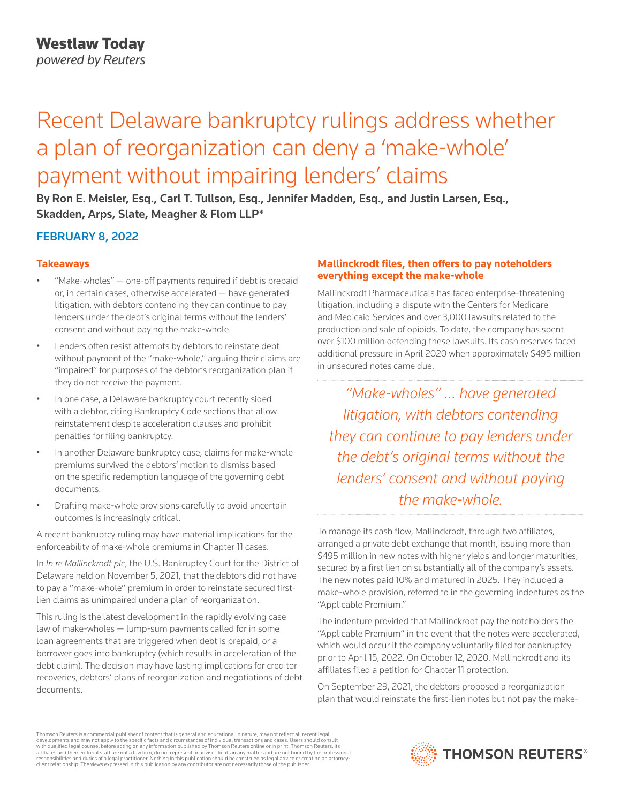# Recent Delaware bankruptcy rulings address whether a plan of reorganization can deny a 'make-whole' payment without impairing lenders' claims

By Ron E. Meisler, Esq., Carl T. Tullson, Esq., Jennifer Madden, Esq., and Justin Larsen, Esq., Skadden, Arps, Slate, Meagher & Flom LLP\*

## FEBRUARY 8, 2022

### **Takeaways**

- "Make-wholes"  $-$  one-off payments required if debt is prepaid or, in certain cases, otherwise accelerated — have generated litigation, with debtors contending they can continue to pay lenders under the debt's original terms without the lenders' consent and without paying the make-whole.
- Lenders often resist attempts by debtors to reinstate debt without payment of the "make-whole," arguing their claims are "impaired" for purposes of the debtor's reorganization plan if they do not receive the payment.
- In one case, a Delaware bankruptcy court recently sided with a debtor, citing Bankruptcy Code sections that allow reinstatement despite acceleration clauses and prohibit penalties for filing bankruptcy.
- In another Delaware bankruptcy case, claims for make-whole premiums survived the debtors' motion to dismiss based on the specific redemption language of the governing debt documents.
- Drafting make-whole provisions carefully to avoid uncertain outcomes is increasingly critical.

A recent bankruptcy ruling may have material implications for the enforceability of make-whole premiums in Chapter 11 cases.

In *In re Mallinckrodt plc*, the U.S. Bankruptcy Court for the District of Delaware held on November 5, 2021, that the debtors did not have to pay a "make-whole" premium in order to reinstate secured firstlien claims as unimpaired under a plan of reorganization.

This ruling is the latest development in the rapidly evolving case law of make-wholes — lump-sum payments called for in some loan agreements that are triggered when debt is prepaid, or a borrower goes into bankruptcy (which results in acceleration of the debt claim). The decision may have lasting implications for creditor recoveries, debtors' plans of reorganization and negotiations of debt documents.

### **Mallinckrodt files, then offers to pay noteholders everything except the make-whole**

Mallinckrodt Pharmaceuticals has faced enterprise-threatening litigation, including a dispute with the Centers for Medicare and Medicaid Services and over 3,000 lawsuits related to the production and sale of opioids. To date, the company has spent over \$100 million defending these lawsuits. Its cash reserves faced additional pressure in April 2020 when approximately \$495 million in unsecured notes came due.

*"Make-wholes" … have generated litigation, with debtors contending they can continue to pay lenders under the debt's original terms without the lenders' consent and without paying the make-whole.*

To manage its cash flow, Mallinckrodt, through two affiliates, arranged a private debt exchange that month, issuing more than \$495 million in new notes with higher yields and longer maturities, secured by a first lien on substantially all of the company's assets. The new notes paid 10% and matured in 2025. They included a make-whole provision, referred to in the governing indentures as the "Applicable Premium."

The indenture provided that Mallinckrodt pay the noteholders the "Applicable Premium" in the event that the notes were accelerated, which would occur if the company voluntarily filed for bankruptcy prior to April 15, 2022. On October 12, 2020, Mallinckrodt and its affiliates filed a petition for Chapter 11 protection.

On September 29, 2021, the debtors proposed a reorganization plan that would reinstate the first-lien notes but not pay the make-

Thomson Reuters is a commercial publisher of content that is general and educational in nature, may not reflect all recent legal developments and may not apply to the specific facts and circumstances of individual transactions and cases. Users should consult<br>with qualified legal counsel before acting on any information published by Thomson Reuters o responsibilities and duties of a legal practitioner. Nothing in this publication should be construed as legal advice or creating an attorneyclient relationship. The views expressed in this publication by any contributor are not necessarily those of the publisher.

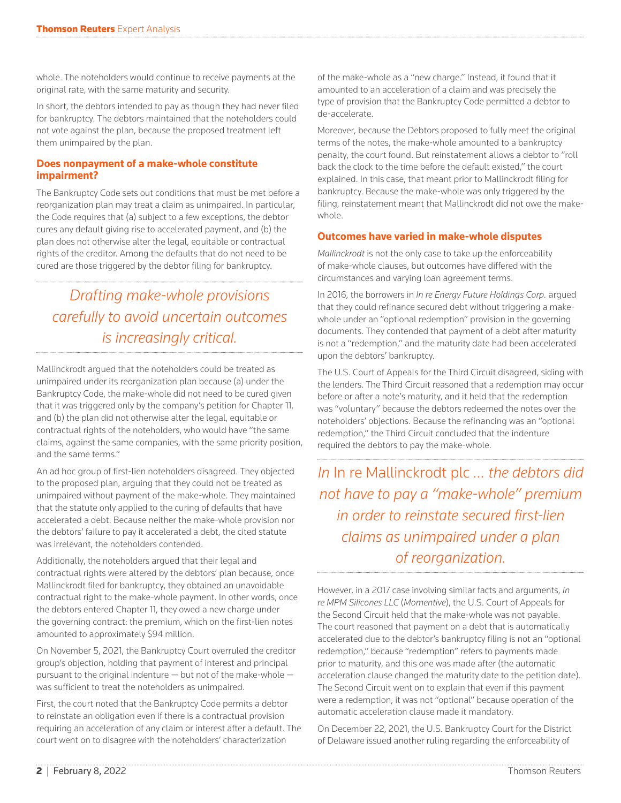whole. The noteholders would continue to receive payments at the original rate, with the same maturity and security.

In short, the debtors intended to pay as though they had never filed for bankruptcy. The debtors maintained that the noteholders could not vote against the plan, because the proposed treatment left them unimpaired by the plan.

### **Does nonpayment of a make-whole constitute impairment?**

The Bankruptcy Code sets out conditions that must be met before a reorganization plan may treat a claim as unimpaired. In particular, the Code requires that (a) subject to a few exceptions, the debtor cures any default giving rise to accelerated payment, and (b) the plan does not otherwise alter the legal, equitable or contractual rights of the creditor. Among the defaults that do not need to be cured are those triggered by the debtor filing for bankruptcy.

# *Drafting make-whole provisions carefully to avoid uncertain outcomes is increasingly critical.*

Mallinckrodt argued that the noteholders could be treated as unimpaired under its reorganization plan because (a) under the Bankruptcy Code, the make-whole did not need to be cured given that it was triggered only by the company's petition for Chapter 11, and (b) the plan did not otherwise alter the legal, equitable or contractual rights of the noteholders, who would have "the same claims, against the same companies, with the same priority position, and the same terms."

An ad hoc group of first-lien noteholders disagreed. They objected to the proposed plan, arguing that they could not be treated as unimpaired without payment of the make-whole. They maintained that the statute only applied to the curing of defaults that have accelerated a debt. Because neither the make-whole provision nor the debtors' failure to pay it accelerated a debt, the cited statute was irrelevant, the noteholders contended.

Additionally, the noteholders argued that their legal and contractual rights were altered by the debtors' plan because, once Mallinckrodt filed for bankruptcy, they obtained an unavoidable contractual right to the make-whole payment. In other words, once the debtors entered Chapter 11, they owed a new charge under the governing contract: the premium, which on the first-lien notes amounted to approximately \$94 million.

On November 5, 2021, the Bankruptcy Court overruled the creditor group's objection, holding that payment of interest and principal pursuant to the original indenture — but not of the make-whole was sufficient to treat the noteholders as unimpaired.

First, the court noted that the Bankruptcy Code permits a debtor to reinstate an obligation even if there is a contractual provision requiring an acceleration of any claim or interest after a default. The court went on to disagree with the noteholders' characterization

of the make-whole as a "new charge." Instead, it found that it amounted to an acceleration of a claim and was precisely the type of provision that the Bankruptcy Code permitted a debtor to de-accelerate.

Moreover, because the Debtors proposed to fully meet the original terms of the notes, the make-whole amounted to a bankruptcy penalty, the court found. But reinstatement allows a debtor to "roll back the clock to the time before the default existed," the court explained. In this case, that meant prior to Mallinckrodt filing for bankruptcy. Because the make-whole was only triggered by the filing, reinstatement meant that Mallinckrodt did not owe the makewhole.

### **Outcomes have varied in make-whole disputes**

*Mallinckrodt* is not the only case to take up the enforceability of make-whole clauses, but outcomes have differed with the circumstances and varying loan agreement terms.

In 2016, the borrowers in *In re Energy Future Holdings Corp.* argued that they could refinance secured debt without triggering a makewhole under an "optional redemption" provision in the governing documents. They contended that payment of a debt after maturity is not a "redemption," and the maturity date had been accelerated upon the debtors' bankruptcy.

The U.S. Court of Appeals for the Third Circuit disagreed, siding with the lenders. The Third Circuit reasoned that a redemption may occur before or after a note's maturity, and it held that the redemption was "voluntary" because the debtors redeemed the notes over the noteholders' objections. Because the refinancing was an "optional redemption," the Third Circuit concluded that the indenture required the debtors to pay the make-whole.

*In* In re Mallinckrodt plc *… the debtors did not have to pay a "make-whole" premium in order to reinstate secured first-lien claims as unimpaired under a plan of reorganization.*

However, in a 2017 case involving similar facts and arguments, *In re MPM Silicones LLC* (*Momentive*), the U.S. Court of Appeals for the Second Circuit held that the make-whole was not payable. The court reasoned that payment on a debt that is automatically accelerated due to the debtor's bankruptcy filing is not an "optional redemption," because "redemption" refers to payments made prior to maturity, and this one was made after (the automatic acceleration clause changed the maturity date to the petition date). The Second Circuit went on to explain that even if this payment were a redemption, it was not "optional" because operation of the automatic acceleration clause made it mandatory.

On December 22, 2021, the U.S. Bankruptcy Court for the District of Delaware issued another ruling regarding the enforceability of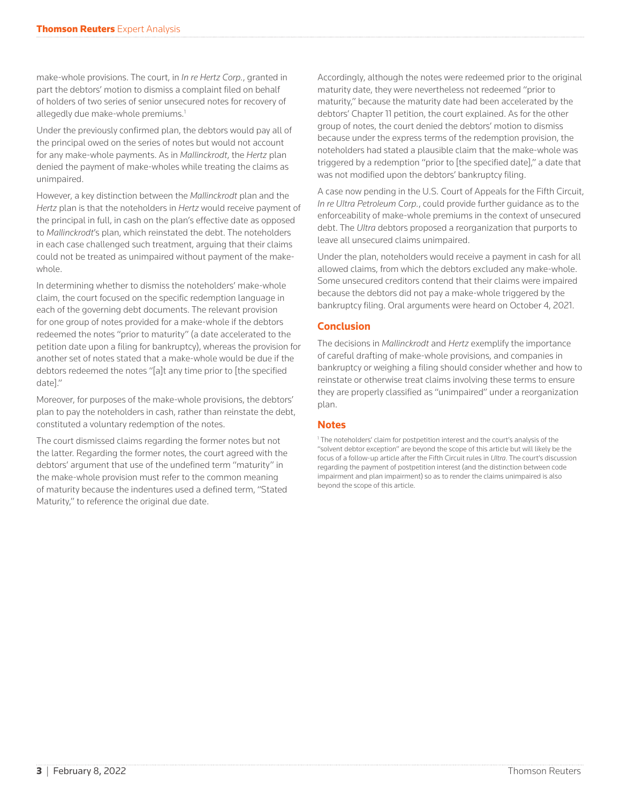make-whole provisions. The court, in *In re Hertz Corp.*, granted in part the debtors' motion to dismiss a complaint filed on behalf of holders of two series of senior unsecured notes for recovery of allegedly due make-whole premiums.<sup>1</sup>

Under the previously confirmed plan, the debtors would pay all of the principal owed on the series of notes but would not account for any make-whole payments. As in *Mallinckrodt*, the *Hertz* plan denied the payment of make-wholes while treating the claims as unimpaired.

However, a key distinction between the *Mallinckrodt* plan and the *Hertz* plan is that the noteholders in *Hertz* would receive payment of the principal in full, in cash on the plan's effective date as opposed to *Mallinckrodt*'s plan, which reinstated the debt. The noteholders in each case challenged such treatment, arguing that their claims could not be treated as unimpaired without payment of the makewhole.

In determining whether to dismiss the noteholders' make-whole claim, the court focused on the specific redemption language in each of the governing debt documents. The relevant provision for one group of notes provided for a make-whole if the debtors redeemed the notes "prior to maturity" (a date accelerated to the petition date upon a filing for bankruptcy), whereas the provision for another set of notes stated that a make-whole would be due if the debtors redeemed the notes "[a]t any time prior to [the specified date]."

Moreover, for purposes of the make-whole provisions, the debtors' plan to pay the noteholders in cash, rather than reinstate the debt, constituted a voluntary redemption of the notes.

The court dismissed claims regarding the former notes but not the latter. Regarding the former notes, the court agreed with the debtors' argument that use of the undefined term "maturity" in the make-whole provision must refer to the common meaning of maturity because the indentures used a defined term, "Stated Maturity," to reference the original due date.

Accordingly, although the notes were redeemed prior to the original maturity date, they were nevertheless not redeemed "prior to maturity," because the maturity date had been accelerated by the debtors' Chapter 11 petition, the court explained. As for the other group of notes, the court denied the debtors' motion to dismiss because under the express terms of the redemption provision, the noteholders had stated a plausible claim that the make-whole was triggered by a redemption "prior to [the specified date]," a date that was not modified upon the debtors' bankruptcy filing.

A case now pending in the U.S. Court of Appeals for the Fifth Circuit, *In re Ultra Petroleum Corp.*, could provide further guidance as to the enforceability of make-whole premiums in the context of unsecured debt. The *Ultra* debtors proposed a reorganization that purports to leave all unsecured claims unimpaired.

Under the plan, noteholders would receive a payment in cash for all allowed claims, from which the debtors excluded any make-whole. Some unsecured creditors contend that their claims were impaired because the debtors did not pay a make-whole triggered by the bankruptcy filing. Oral arguments were heard on October 4, 2021.

### **Conclusion**

The decisions in *Mallinckrodt* and *Hertz* exemplify the importance of careful drafting of make-whole provisions, and companies in bankruptcy or weighing a filing should consider whether and how to reinstate or otherwise treat claims involving these terms to ensure they are properly classified as "unimpaired" under a reorganization plan.

### **Notes**

<sup>1</sup> The noteholders' claim for postpetition interest and the court's analysis of the "solvent debtor exception" are beyond the scope of this article but will likely be the focus of a follow-up article after the Fifth Circuit rules in *Ultra*. The court's discussion regarding the payment of postpetition interest (and the distinction between code impairment and plan impairment) so as to render the claims unimpaired is also beyond the scope of this article.